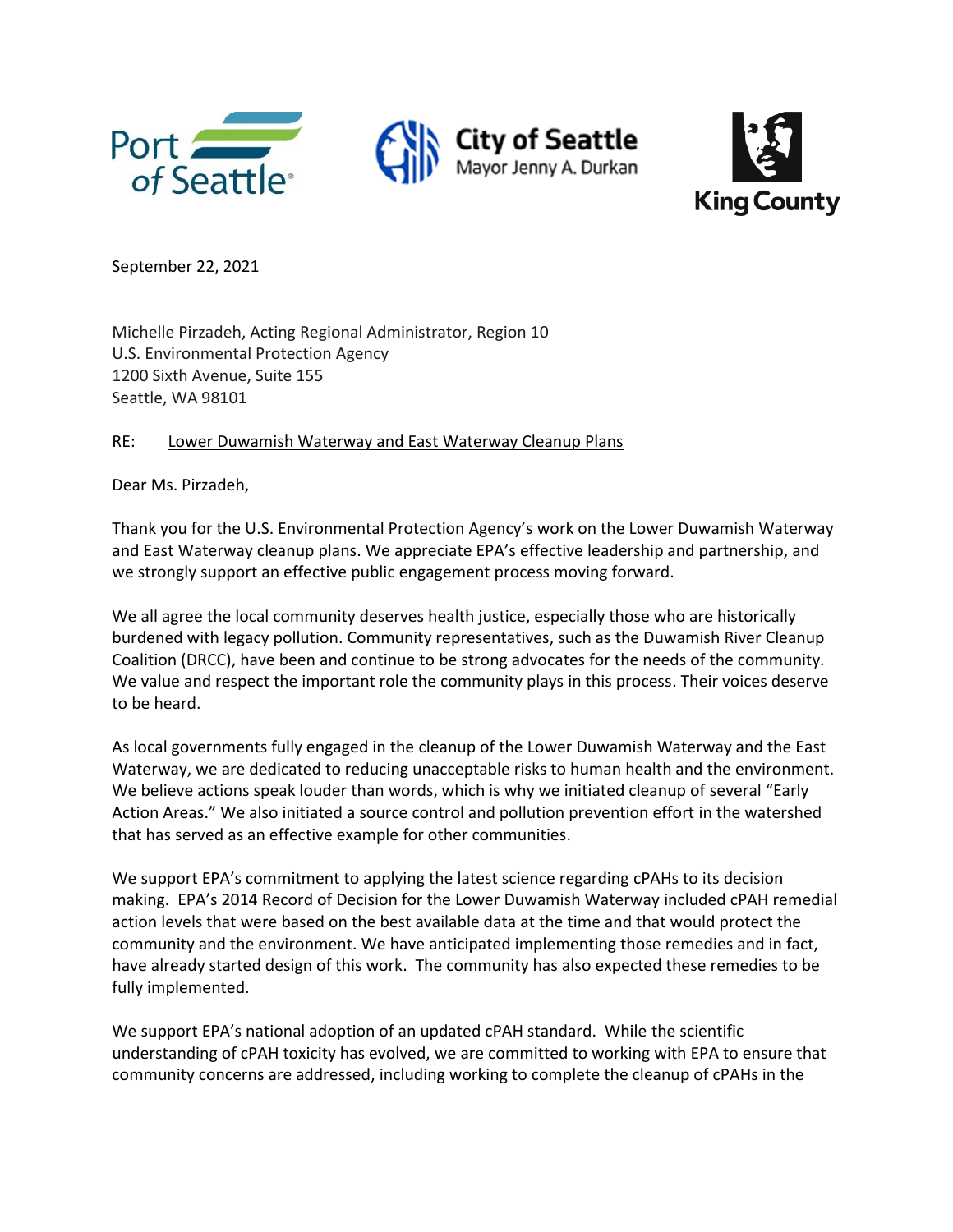



September 22, 2021

Michelle Pirzadeh, Acting Regional Administrator, Region 10 U.S. Environmental Protection Agency 1200 Sixth Avenue, Suite 155 Seattle, WA 98101

RE: Lower Duwamish Waterway and East Waterway Cleanup Plans

Dear Ms. Pirzadeh,

Thank you for the U.S. Environmental Protection Agency's work on the Lower Duwamish Waterway and East Waterway cleanup plans. We appreciate EPA's effective leadership and partnership, and we strongly support an effective public engagement process moving forward.

We all agree the local community deserves health justice, especially those who are historically burdened with legacy pollution. Community representatives, such as the Duwamish River Cleanup Coalition (DRCC), have been and continue to be strong advocates for the needs of the community. We value and respect the important role the community plays in this process. Their voices deserve to be heard.

As local governments fully engaged in the cleanup of the Lower Duwamish Waterway and the East Waterway, we are dedicated to reducing unacceptable risks to human health and the environment. We believe actions speak louder than words, which is why we initiated cleanup of several "Early Action Areas." We also initiated a source control and pollution prevention effort in the watershed that has served as an effective example for other communities.

We support EPA's commitment to applying the latest science regarding cPAHs to its decision making. EPA's 2014 Record of Decision for the Lower Duwamish Waterway included cPAH remedial action levels that were based on the best available data at the time and that would protect the community and the environment. We have anticipated implementing those remedies and in fact, have already started design of this work. The community has also expected these remedies to be fully implemented.

We support EPA's national adoption of an updated cPAH standard. While the scientific understanding of cPAH toxicity has evolved, we are committed to working with EPA to ensure that community concerns are addressed, including working to complete the cleanup of cPAHs in the